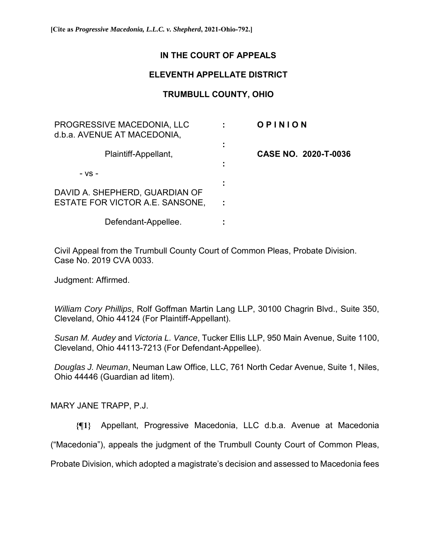## **IN THE COURT OF APPEALS**

## **ELEVENTH APPELLATE DISTRICT**

# **TRUMBULL COUNTY, OHIO**

| PROGRESSIVE MACEDONIA, LLC<br>d.b.a. AVENUE AT MACEDONIA, |   | OPINION              |
|-----------------------------------------------------------|---|----------------------|
| Plaintiff-Appellant,                                      | ÷ | CASE NO. 2020-T-0036 |
| - VS -                                                    |   |                      |
| DAVID A. SHEPHERD, GUARDIAN OF                            |   |                      |
| ESTATE FOR VICTOR A.E. SANSONE,                           |   |                      |
| Defendant-Appellee.                                       |   |                      |

Civil Appeal from the Trumbull County Court of Common Pleas, Probate Division. Case No. 2019 CVA 0033.

Judgment: Affirmed.

*William Cory Phillips*, Rolf Goffman Martin Lang LLP, 30100 Chagrin Blvd., Suite 350, Cleveland, Ohio 44124 (For Plaintiff-Appellant).

*Susan M. Audey* and *Victoria L. Vance*, Tucker Ellis LLP, 950 Main Avenue, Suite 1100, Cleveland, Ohio 44113-7213 (For Defendant-Appellee).

*Douglas J. Neuman*, Neuman Law Office, LLC, 761 North Cedar Avenue, Suite 1, Niles, Ohio 44446 (Guardian ad litem).

MARY JANE TRAPP, P.J.

**{¶1}** Appellant, Progressive Macedonia, LLC d.b.a. Avenue at Macedonia

("Macedonia"), appeals the judgment of the Trumbull County Court of Common Pleas,

Probate Division, which adopted a magistrate's decision and assessed to Macedonia fees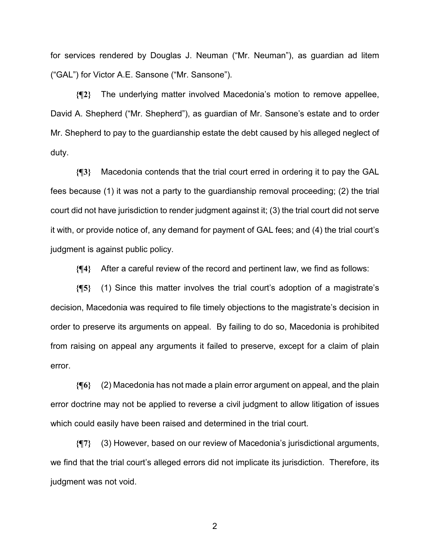for services rendered by Douglas J. Neuman ("Mr. Neuman"), as guardian ad litem ("GAL") for Victor A.E. Sansone ("Mr. Sansone").

**{¶2}** The underlying matter involved Macedonia's motion to remove appellee, David A. Shepherd ("Mr. Shepherd"), as guardian of Mr. Sansone's estate and to order Mr. Shepherd to pay to the guardianship estate the debt caused by his alleged neglect of duty.

**{¶3}** Macedonia contends that the trial court erred in ordering it to pay the GAL fees because (1) it was not a party to the guardianship removal proceeding; (2) the trial court did not have jurisdiction to render judgment against it; (3) the trial court did not serve it with, or provide notice of, any demand for payment of GAL fees; and (4) the trial court's judgment is against public policy.

**{¶4}** After a careful review of the record and pertinent law, we find as follows:

**{¶5}** (1) Since this matter involves the trial court's adoption of a magistrate's decision, Macedonia was required to file timely objections to the magistrate's decision in order to preserve its arguments on appeal. By failing to do so, Macedonia is prohibited from raising on appeal any arguments it failed to preserve, except for a claim of plain error.

**{¶6}** (2) Macedonia has not made a plain error argument on appeal, and the plain error doctrine may not be applied to reverse a civil judgment to allow litigation of issues which could easily have been raised and determined in the trial court.

**{¶7}** (3) However, based on our review of Macedonia's jurisdictional arguments, we find that the trial court's alleged errors did not implicate its jurisdiction. Therefore, its judgment was not void.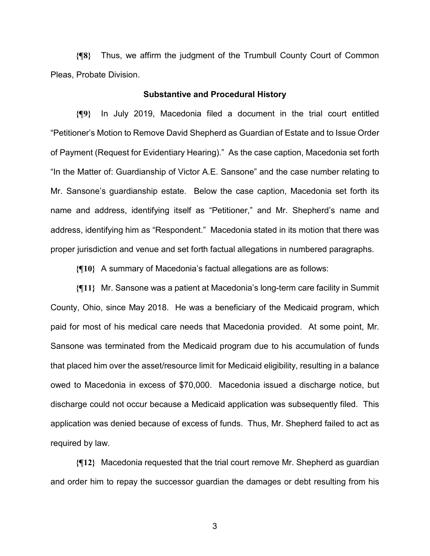**{¶8}** Thus, we affirm the judgment of the Trumbull County Court of Common Pleas, Probate Division.

### **Substantive and Procedural History**

**{¶9}** In July 2019, Macedonia filed a document in the trial court entitled "Petitioner's Motion to Remove David Shepherd as Guardian of Estate and to Issue Order of Payment (Request for Evidentiary Hearing)." As the case caption, Macedonia set forth "In the Matter of: Guardianship of Victor A.E. Sansone" and the case number relating to Mr. Sansone's guardianship estate. Below the case caption, Macedonia set forth its name and address, identifying itself as "Petitioner," and Mr. Shepherd's name and address, identifying him as "Respondent." Macedonia stated in its motion that there was proper jurisdiction and venue and set forth factual allegations in numbered paragraphs.

**{¶10}** A summary of Macedonia's factual allegations are as follows:

**{¶11}** Mr. Sansone was a patient at Macedonia's long-term care facility in Summit County, Ohio, since May 2018. He was a beneficiary of the Medicaid program, which paid for most of his medical care needs that Macedonia provided. At some point, Mr. Sansone was terminated from the Medicaid program due to his accumulation of funds that placed him over the asset/resource limit for Medicaid eligibility, resulting in a balance owed to Macedonia in excess of \$70,000. Macedonia issued a discharge notice, but discharge could not occur because a Medicaid application was subsequently filed. This application was denied because of excess of funds. Thus, Mr. Shepherd failed to act as required by law.

**{¶12}** Macedonia requested that the trial court remove Mr. Shepherd as guardian and order him to repay the successor guardian the damages or debt resulting from his

 $\sim$  3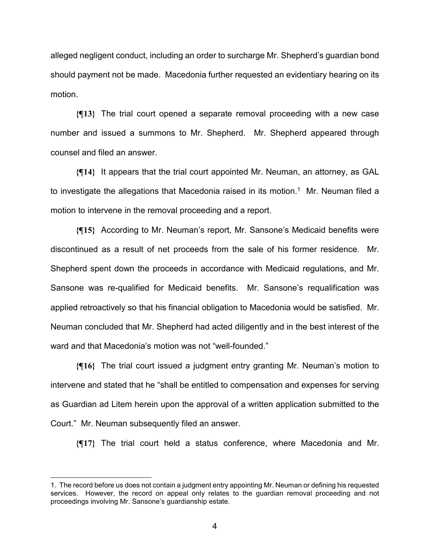alleged negligent conduct, including an order to surcharge Mr. Shepherd's guardian bond should payment not be made. Macedonia further requested an evidentiary hearing on its motion.

**{¶13}** The trial court opened a separate removal proceeding with a new case number and issued a summons to Mr. Shepherd. Mr. Shepherd appeared through counsel and filed an answer.

**{¶14}** It appears that the trial court appointed Mr. Neuman, an attorney, as GAL to investigate the allegations that Macedonia raised in its motion.<sup>1</sup> Mr. Neuman filed a motion to intervene in the removal proceeding and a report.

**{¶15}** According to Mr. Neuman's report, Mr. Sansone's Medicaid benefits were discontinued as a result of net proceeds from the sale of his former residence. Mr. Shepherd spent down the proceeds in accordance with Medicaid regulations, and Mr. Sansone was re-qualified for Medicaid benefits. Mr. Sansone's requalification was applied retroactively so that his financial obligation to Macedonia would be satisfied. Mr. Neuman concluded that Mr. Shepherd had acted diligently and in the best interest of the ward and that Macedonia's motion was not "well-founded."

**{¶16}** The trial court issued a judgment entry granting Mr. Neuman's motion to intervene and stated that he "shall be entitled to compensation and expenses for serving as Guardian ad Litem herein upon the approval of a written application submitted to the Court." Mr. Neuman subsequently filed an answer.

**{¶17}** The trial court held a status conference, where Macedonia and Mr.

<sup>1.</sup> The record before us does not contain a judgment entry appointing Mr. Neuman or defining his requested services. However, the record on appeal only relates to the guardian removal proceeding and not proceedings involving Mr. Sansone's guardianship estate.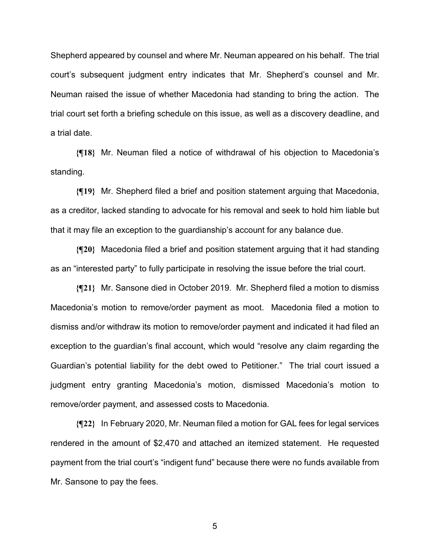Shepherd appeared by counsel and where Mr. Neuman appeared on his behalf. The trial court's subsequent judgment entry indicates that Mr. Shepherd's counsel and Mr. Neuman raised the issue of whether Macedonia had standing to bring the action. The trial court set forth a briefing schedule on this issue, as well as a discovery deadline, and a trial date.

**{¶18}** Mr. Neuman filed a notice of withdrawal of his objection to Macedonia's standing.

**{¶19}** Mr. Shepherd filed a brief and position statement arguing that Macedonia, as a creditor, lacked standing to advocate for his removal and seek to hold him liable but that it may file an exception to the guardianship's account for any balance due.

**{¶20}** Macedonia filed a brief and position statement arguing that it had standing as an "interested party" to fully participate in resolving the issue before the trial court.

**{¶21}** Mr. Sansone died in October 2019. Mr. Shepherd filed a motion to dismiss Macedonia's motion to remove/order payment as moot. Macedonia filed a motion to dismiss and/or withdraw its motion to remove/order payment and indicated it had filed an exception to the guardian's final account, which would "resolve any claim regarding the Guardian's potential liability for the debt owed to Petitioner." The trial court issued a judgment entry granting Macedonia's motion, dismissed Macedonia's motion to remove/order payment, and assessed costs to Macedonia.

**{¶22}** In February 2020, Mr. Neuman filed a motion for GAL fees for legal services rendered in the amount of \$2,470 and attached an itemized statement. He requested payment from the trial court's "indigent fund" because there were no funds available from Mr. Sansone to pay the fees.

 $5<sup>th</sup>$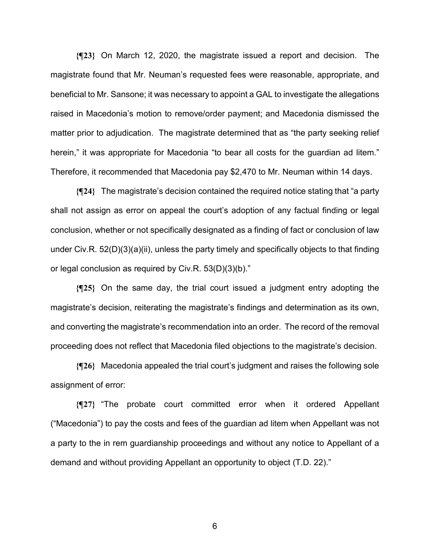**{¶23}** On March 12, 2020, the magistrate issued a report and decision. The magistrate found that Mr. Neuman's requested fees were reasonable, appropriate, and beneficial to Mr. Sansone; it was necessary to appoint a GAL to investigate the allegations raised in Macedonia's motion to remove/order payment; and Macedonia dismissed the matter prior to adjudication. The magistrate determined that as "the party seeking relief herein," it was appropriate for Macedonia "to bear all costs for the guardian ad litem." Therefore, it recommended that Macedonia pay \$2,470 to Mr. Neuman within 14 days.

**{¶24}** The magistrate's decision contained the required notice stating that "a party shall not assign as error on appeal the court's adoption of any factual finding or legal conclusion, whether or not specifically designated as a finding of fact or conclusion of law under Civ.R. 52(D)(3)(a)(ii), unless the party timely and specifically objects to that finding or legal conclusion as required by Civ.R. 53(D)(3)(b)."

**{¶25}** On the same day, the trial court issued a judgment entry adopting the magistrate's decision, reiterating the magistrate's findings and determination as its own, and converting the magistrate's recommendation into an order. The record of the removal proceeding does not reflect that Macedonia filed objections to the magistrate's decision.

**{¶26}** Macedonia appealed the trial court's judgment and raises the following sole assignment of error:

**{¶27}** "The probate court committed error when it ordered Appellant ("Macedonia") to pay the costs and fees of the guardian ad litem when Appellant was not a party to the in rem guardianship proceedings and without any notice to Appellant of a demand and without providing Appellant an opportunity to object (T.D. 22)."

 $\sim$  6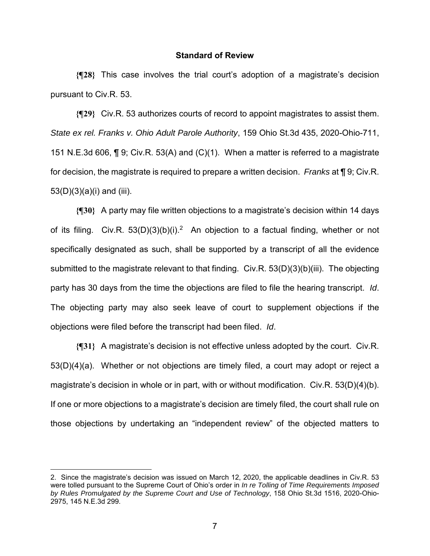## **Standard of Review**

**{¶28}** This case involves the trial court's adoption of a magistrate's decision pursuant to Civ.R. 53.

**{¶29}** Civ.R. 53 authorizes courts of record to appoint magistrates to assist them. *State ex rel. Franks v. Ohio Adult Parole Authority*, 159 Ohio St.3d 435, 2020-Ohio-711, 151 N.E.3d 606, ¶ 9; Civ.R. 53(A) and (C)(1). When a matter is referred to a magistrate for decision, the magistrate is required to prepare a written decision. *Franks* at ¶ 9; Civ.R.  $53(D)(3)(a)(i)$  and (iii).

**{¶30}** A party may file written objections to a magistrate's decision within 14 days of its filing. Civ.R.  $53(D)(3)(b)(i).^2$  An objection to a factual finding, whether or not specifically designated as such, shall be supported by a transcript of all the evidence submitted to the magistrate relevant to that finding. Civ.R. 53(D)(3)(b)(iii). The objecting party has 30 days from the time the objections are filed to file the hearing transcript. *Id*. The objecting party may also seek leave of court to supplement objections if the objections were filed before the transcript had been filed. *Id*.

**{¶31}** A magistrate's decision is not effective unless adopted by the court. Civ.R. 53(D)(4)(a). Whether or not objections are timely filed, a court may adopt or reject a magistrate's decision in whole or in part, with or without modification. Civ.R.  $53(D)(4)(b)$ . If one or more objections to a magistrate's decision are timely filed, the court shall rule on those objections by undertaking an "independent review" of the objected matters to

<sup>2.</sup> Since the magistrate's decision was issued on March 12, 2020, the applicable deadlines in Civ.R. 53 were tolled pursuant to the Supreme Court of Ohio's order in *In re Tolling of Time Requirements Imposed by Rules Promulgated by the Supreme Court and Use of Technology*, 158 Ohio St.3d 1516, 2020-Ohio-2975, 145 N.E.3d 299.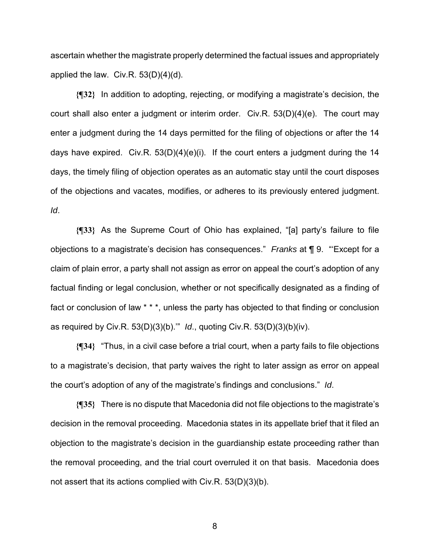ascertain whether the magistrate properly determined the factual issues and appropriately applied the law. Civ.R. 53(D)(4)(d).

**{¶32}** In addition to adopting, rejecting, or modifying a magistrate's decision, the court shall also enter a judgment or interim order. Civ.R. 53(D)(4)(e). The court may enter a judgment during the 14 days permitted for the filing of objections or after the 14 days have expired. Civ.R.  $53(D)(4)(e)(i)$ . If the court enters a judgment during the 14 days, the timely filing of objection operates as an automatic stay until the court disposes of the objections and vacates, modifies, or adheres to its previously entered judgment. *Id*.

**{¶33}** As the Supreme Court of Ohio has explained, "[a] party's failure to file objections to a magistrate's decision has consequences." *Franks* at ¶ 9. "'Except for a claim of plain error, a party shall not assign as error on appeal the court's adoption of any factual finding or legal conclusion, whether or not specifically designated as a finding of fact or conclusion of law \* \* \*, unless the party has objected to that finding or conclusion as required by Civ.R. 53(D)(3)(b).'" *Id*., quoting Civ.R. 53(D)(3)(b)(iv).

**{¶34}** "Thus, in a civil case before a trial court, when a party fails to file objections to a magistrate's decision, that party waives the right to later assign as error on appeal the court's adoption of any of the magistrate's findings and conclusions." *Id*.

**{¶35}** There is no dispute that Macedonia did not file objections to the magistrate's decision in the removal proceeding. Macedonia states in its appellate brief that it filed an objection to the magistrate's decision in the guardianship estate proceeding rather than the removal proceeding, and the trial court overruled it on that basis. Macedonia does not assert that its actions complied with Civ.R. 53(D)(3)(b).

en andere de la provincia de la provincia de la provincia de la provincia de la provincia de la provincia del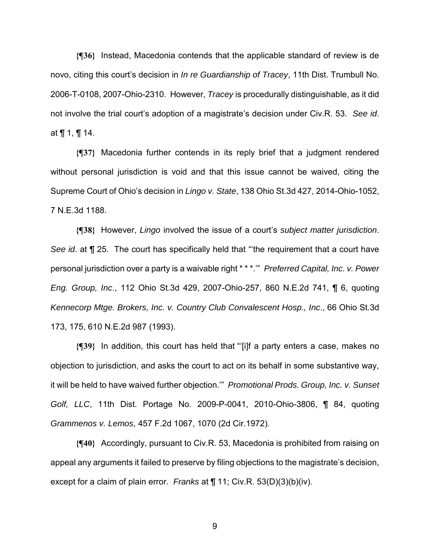**{¶36}** Instead, Macedonia contends that the applicable standard of review is de novo, citing this court's decision in *In re Guardianship of Tracey*, 11th Dist. Trumbull No. 2006-T-0108, 2007-Ohio-2310. However, *Tracey* is procedurally distinguishable, as it did not involve the trial court's adoption of a magistrate's decision under Civ.R. 53. *See id*. at ¶ 1, ¶ 14.

**{¶37}** Macedonia further contends in its reply brief that a judgment rendered without personal jurisdiction is void and that this issue cannot be waived, citing the Supreme Court of Ohio's decision in *Lingo v. State*, 138 Ohio St.3d 427, 2014-Ohio-1052, 7 N.E.3d 1188.

**{¶38}** However, *Lingo* involved the issue of a court's *subject matter jurisdiction*. *See id*. at ¶ 25. The court has specifically held that "'the requirement that a court have personal jurisdiction over a party is a waivable right \* \* \*.'" *Preferred Capital, Inc. v. Power Eng. Group, Inc*., 112 Ohio St.3d 429, 2007-Ohio-257, 860 N.E.2d 741, ¶ 6, quoting *Kennecorp Mtge. Brokers, Inc. v. Country Club Convalescent Hosp., Inc*., 66 Ohio St.3d 173, 175, 610 N.E.2d 987 (1993).

**{¶39}** In addition, this court has held that "'[i]f a party enters a case, makes no objection to jurisdiction, and asks the court to act on its behalf in some substantive way, it will be held to have waived further objection.'" *Promotional Prods. Group, Inc. v. Sunset Golf, LLC*, 11th Dist. Portage No. 2009-P-0041, 2010-Ohio-3806, ¶ 84, quoting *Grammenos v. Lemos*, 457 F.2d 1067, 1070 (2d Cir.1972).

**{¶40}** Accordingly, pursuant to Civ.R. 53, Macedonia is prohibited from raising on appeal any arguments it failed to preserve by filing objections to the magistrate's decision, except for a claim of plain error. *Franks* at ¶ 11; Civ.R. 53(D)(3)(b)(iv).

9 and 20 and 20 and 20 and 20 and 20 and 20 and 20 and 20 and 20 and 20 and 20 and 20 and 20 and 20 and 20 and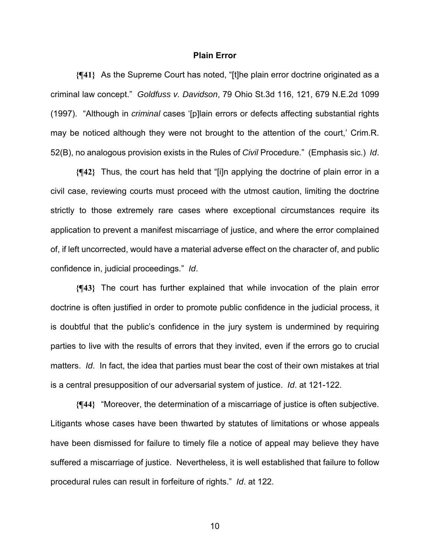## **Plain Error**

**{¶41}** As the Supreme Court has noted, "[t]he plain error doctrine originated as a criminal law concept." *Goldfuss v. Davidson*, 79 Ohio St.3d 116, 121, 679 N.E.2d 1099 (1997). "Although in *criminal* cases '[p]lain errors or defects affecting substantial rights may be noticed although they were not brought to the attention of the court,' Crim.R. 52(B), no analogous provision exists in the Rules of *Civil* Procedure." (Emphasis sic.) *Id*.

**{¶42}** Thus, the court has held that "[i]n applying the doctrine of plain error in a civil case, reviewing courts must proceed with the utmost caution, limiting the doctrine strictly to those extremely rare cases where exceptional circumstances require its application to prevent a manifest miscarriage of justice, and where the error complained of, if left uncorrected, would have a material adverse effect on the character of, and public confidence in, judicial proceedings." *Id*.

**{¶43}** The court has further explained that while invocation of the plain error doctrine is often justified in order to promote public confidence in the judicial process, it is doubtful that the public's confidence in the jury system is undermined by requiring parties to live with the results of errors that they invited, even if the errors go to crucial matters. *Id*. In fact, the idea that parties must bear the cost of their own mistakes at trial is a central presupposition of our adversarial system of justice. *Id*. at 121-122.

**{¶44}** "Moreover, the determination of a miscarriage of justice is often subjective. Litigants whose cases have been thwarted by statutes of limitations or whose appeals have been dismissed for failure to timely file a notice of appeal may believe they have suffered a miscarriage of justice. Nevertheless, it is well established that failure to follow procedural rules can result in forfeiture of rights." *Id*. at 122.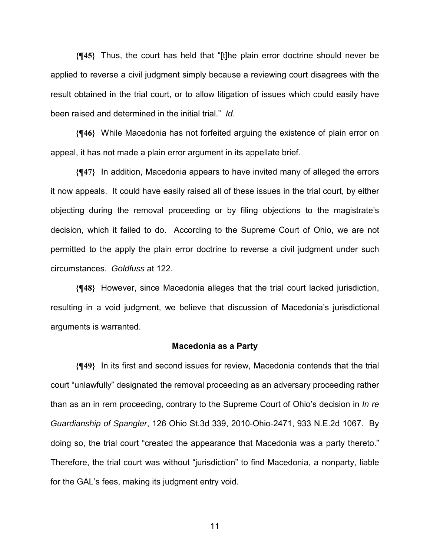**{¶45}** Thus, the court has held that "[t]he plain error doctrine should never be applied to reverse a civil judgment simply because a reviewing court disagrees with the result obtained in the trial court, or to allow litigation of issues which could easily have been raised and determined in the initial trial." *Id*.

**{¶46}** While Macedonia has not forfeited arguing the existence of plain error on appeal, it has not made a plain error argument in its appellate brief.

**{¶47}** In addition, Macedonia appears to have invited many of alleged the errors it now appeals. It could have easily raised all of these issues in the trial court, by either objecting during the removal proceeding or by filing objections to the magistrate's decision, which it failed to do. According to the Supreme Court of Ohio, we are not permitted to the apply the plain error doctrine to reverse a civil judgment under such circumstances. *Goldfuss* at 122.

**{¶48}** However, since Macedonia alleges that the trial court lacked jurisdiction, resulting in a void judgment, we believe that discussion of Macedonia's jurisdictional arguments is warranted.

#### **Macedonia as a Party**

**{¶49}** In its first and second issues for review, Macedonia contends that the trial court "unlawfully" designated the removal proceeding as an adversary proceeding rather than as an in rem proceeding, contrary to the Supreme Court of Ohio's decision in *In re Guardianship of Spangler*, 126 Ohio St.3d 339, 2010-Ohio-2471, 933 N.E.2d 1067. By doing so, the trial court "created the appearance that Macedonia was a party thereto." Therefore, the trial court was without "jurisdiction" to find Macedonia, a nonparty, liable for the GAL's fees, making its judgment entry void.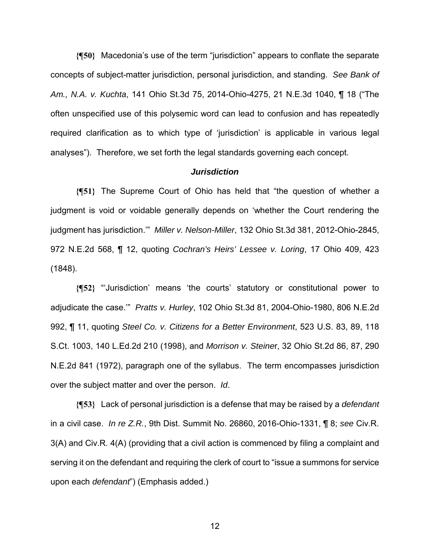**{¶50}** Macedonia's use of the term "jurisdiction" appears to conflate the separate concepts of subject-matter jurisdiction, personal jurisdiction, and standing. *See Bank of Am., N.A. v. Kuchta*, 141 Ohio St.3d 75, 2014-Ohio-4275, 21 N.E.3d 1040, ¶ 18 ("The often unspecified use of this polysemic word can lead to confusion and has repeatedly required clarification as to which type of 'jurisdiction' is applicable in various legal analyses"). Therefore, we set forth the legal standards governing each concept.

## *Jurisdiction*

**{¶51}** The Supreme Court of Ohio has held that "the question of whether a judgment is void or voidable generally depends on 'whether the Court rendering the judgment has jurisdiction.'" *Miller v. Nelson-Miller*, 132 Ohio St.3d 381, 2012-Ohio-2845, 972 N.E.2d 568, ¶ 12, quoting *Cochran's Heirs' Lessee v. Loring*, 17 Ohio 409, 423 (1848).

**{¶52}** "'Jurisdiction' means 'the courts' statutory or constitutional power to adjudicate the case.'" *Pratts v. Hurley*, 102 Ohio St.3d 81, 2004-Ohio-1980, 806 N.E.2d 992, ¶ 11, quoting *Steel Co. v. Citizens for a Better Environment*, 523 U.S. 83, 89, 118 S.Ct. 1003, 140 L.Ed.2d 210 (1998), and *Morrison v. Steine*r, 32 Ohio St.2d 86, 87, 290 N.E.2d 841 (1972), paragraph one of the syllabus. The term encompasses jurisdiction over the subject matter and over the person. *Id*.

**{¶53}** Lack of personal jurisdiction is a defense that may be raised by a *defendant* in a civil case. *In re Z.R.*, 9th Dist. Summit No. 26860, 2016-Ohio-1331, ¶ 8; *see* Civ.R. 3(A) and Civ.R. 4(A) (providing that a civil action is commenced by filing a complaint and serving it on the defendant and requiring the clerk of court to "issue a summons for service upon each *defendant*") (Emphasis added.)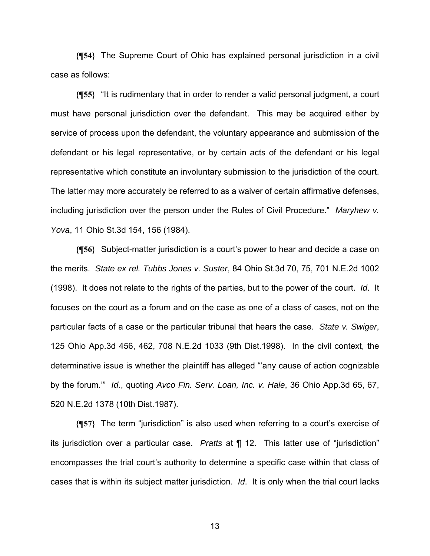**{¶54}** The Supreme Court of Ohio has explained personal jurisdiction in a civil case as follows:

**{¶55}** "It is rudimentary that in order to render a valid personal judgment, a court must have personal jurisdiction over the defendant. This may be acquired either by service of process upon the defendant, the voluntary appearance and submission of the defendant or his legal representative, or by certain acts of the defendant or his legal representative which constitute an involuntary submission to the jurisdiction of the court. The latter may more accurately be referred to as a waiver of certain affirmative defenses, including jurisdiction over the person under the Rules of Civil Procedure." *Maryhew v. Yova*, 11 Ohio St.3d 154, 156 (1984).

**{¶56}** Subject-matter jurisdiction is a court's power to hear and decide a case on the merits. *State ex rel. Tubbs Jones v. Suster*, 84 Ohio St.3d 70, 75, 701 N.E.2d 1002 (1998). It does not relate to the rights of the parties, but to the power of the court. *Id*. It focuses on the court as a forum and on the case as one of a class of cases, not on the particular facts of a case or the particular tribunal that hears the case. *State v. Swiger*, 125 Ohio App.3d 456, 462, 708 N.E.2d 1033 (9th Dist.1998). In the civil context, the determinative issue is whether the plaintiff has alleged "'any cause of action cognizable by the forum.'" *Id*., quoting *Avco Fin. Serv. Loan, Inc. v. Hale*, 36 Ohio App.3d 65, 67, 520 N.E.2d 1378 (10th Dist.1987).

**{¶57}** The term "jurisdiction" is also used when referring to a court's exercise of its jurisdiction over a particular case. *Pratts* at ¶ 12. This latter use of "jurisdiction" encompasses the trial court's authority to determine a specific case within that class of cases that is within its subject matter jurisdiction. *Id*. It is only when the trial court lacks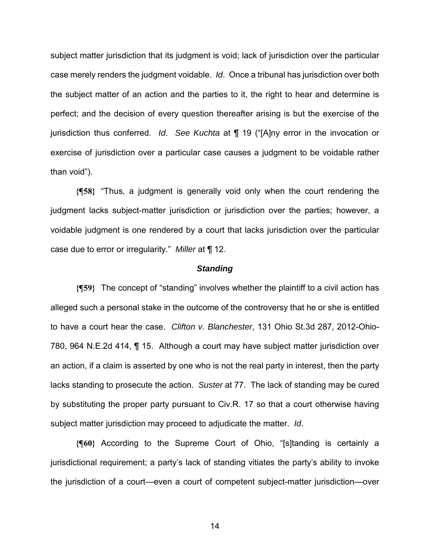subject matter jurisdiction that its judgment is void; lack of jurisdiction over the particular case merely renders the judgment voidable. *Id*. Once a tribunal has jurisdiction over both the subject matter of an action and the parties to it, the right to hear and determine is perfect; and the decision of every question thereafter arising is but the exercise of the jurisdiction thus conferred. *Id*. *See Kuchta* at ¶ 19 ("[A]ny error in the invocation or exercise of jurisdiction over a particular case causes a judgment to be voidable rather than void").

**{¶58}** "Thus, a judgment is generally void only when the court rendering the judgment lacks subject-matter jurisdiction or jurisdiction over the parties; however, a voidable judgment is one rendered by a court that lacks jurisdiction over the particular case due to error or irregularity." *Miller* at ¶ 12.

#### *Standing*

**{¶59}** The concept of "standing" involves whether the plaintiff to a civil action has alleged such a personal stake in the outcome of the controversy that he or she is entitled to have a court hear the case. *Clifton v. Blanchester*, 131 Ohio St.3d 287, 2012-Ohio-780, 964 N.E.2d 414, ¶ 15. Although a court may have subject matter jurisdiction over an action, if a claim is asserted by one who is not the real party in interest, then the party lacks standing to prosecute the action. *Suster* at 77. The lack of standing may be cured by substituting the proper party pursuant to Civ.R. 17 so that a court otherwise having subject matter jurisdiction may proceed to adjudicate the matter. *Id*.

**{¶60}** According to the Supreme Court of Ohio, "[s]tanding is certainly a jurisdictional requirement; a party's lack of standing vitiates the party's ability to invoke the jurisdiction of a court—even a court of competent subject-matter jurisdiction—over

 $\sim$  14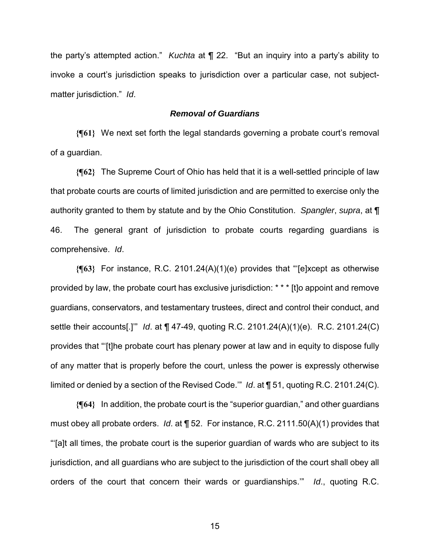the party's attempted action." *Kuchta* at ¶ 22. "But an inquiry into a party's ability to invoke a court's jurisdiction speaks to jurisdiction over a particular case, not subjectmatter jurisdiction." *Id*.

## *Removal of Guardians*

**{¶61}** We next set forth the legal standards governing a probate court's removal of a guardian.

**{¶62}** The Supreme Court of Ohio has held that it is a well-settled principle of law that probate courts are courts of limited jurisdiction and are permitted to exercise only the authority granted to them by statute and by the Ohio Constitution. *Spangler*, *supra*, at ¶ 46. The general grant of jurisdiction to probate courts regarding guardians is comprehensive. *Id*.

**{¶63}** For instance, R.C. 2101.24(A)(1)(e) provides that "'[e]xcept as otherwise provided by law, the probate court has exclusive jurisdiction: \* \* \* [t]o appoint and remove guardians, conservators, and testamentary trustees, direct and control their conduct, and settle their accounts[.]'" *Id*. at ¶ 47-49, quoting R.C. 2101.24(A)(1)(e). R.C. 2101.24(C) provides that "'[t]he probate court has plenary power at law and in equity to dispose fully of any matter that is properly before the court, unless the power is expressly otherwise limited or denied by a section of the Revised Code.'" *Id*. at ¶ 51, quoting R.C. 2101.24(C).

**{¶64}** In addition, the probate court is the "superior guardian," and other guardians must obey all probate orders. *Id*. at ¶ 52. For instance, R.C. 2111.50(A)(1) provides that "'[a]t all times, the probate court is the superior guardian of wards who are subject to its jurisdiction, and all guardians who are subject to the jurisdiction of the court shall obey all orders of the court that concern their wards or guardianships.'" *Id*., quoting R.C.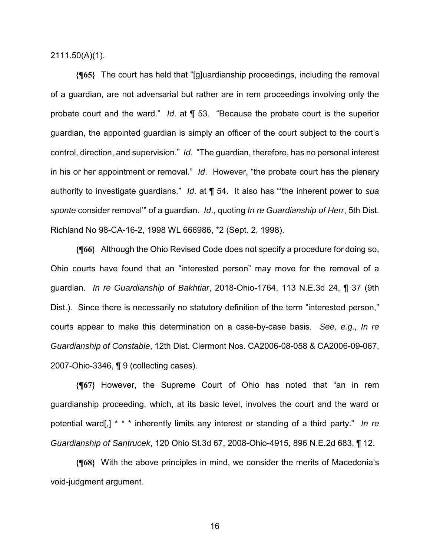2111.50(A)(1).

**{¶65}** The court has held that "[g]uardianship proceedings, including the removal of a guardian, are not adversarial but rather are in rem proceedings involving only the probate court and the ward." *Id*. at ¶ 53. "Because the probate court is the superior guardian, the appointed guardian is simply an officer of the court subject to the court's control, direction, and supervision." *Id*. "The guardian, therefore, has no personal interest in his or her appointment or removal." *Id*. However, "the probate court has the plenary authority to investigate guardians." *Id*. at ¶ 54. It also has "'the inherent power to *sua sponte* consider removal'" of a guardian. *Id*., quoting *In re Guardianship of Herr*, 5th Dist. Richland No 98-CA-16-2, 1998 WL 666986, \*2 (Sept. 2, 1998).

**{¶66}** Although the Ohio Revised Code does not specify a procedure for doing so, Ohio courts have found that an "interested person" may move for the removal of a guardian. *In re Guardianship of Bakhtiar*, 2018-Ohio-1764, 113 N.E.3d 24, ¶ 37 (9th Dist.). Since there is necessarily no statutory definition of the term "interested person," courts appear to make this determination on a case-by-case basis. *See, e.g., In re Guardianship of Constable*, 12th Dist. Clermont Nos. CA2006-08-058 & CA2006-09-067, 2007-Ohio-3346, ¶ 9 (collecting cases).

**{¶67}** However, the Supreme Court of Ohio has noted that "an in rem guardianship proceeding, which, at its basic level, involves the court and the ward or potential ward[,] \* \* \* inherently limits any interest or standing of a third party." *In re Guardianship of Santrucek*, 120 Ohio St.3d 67, 2008-Ohio-4915, 896 N.E.2d 683, ¶ 12.

**{¶68}** With the above principles in mind, we consider the merits of Macedonia's void-judgment argument.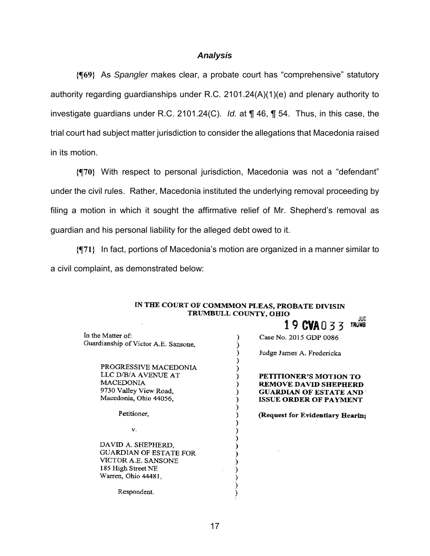## *Analysis*

**{¶69}** As *Spangler* makes clear, a probate court has "comprehensive" statutory authority regarding guardianships under R.C. 2101.24(A)(1)(e) and plenary authority to investigate guardians under R.C. 2101.24(C). *Id.* at ¶ 46, ¶ 54. Thus, in this case, the trial court had subject matter jurisdiction to consider the allegations that Macedonia raised in its motion.

**{¶70}** With respect to personal jurisdiction, Macedonia was not a "defendant" under the civil rules. Rather, Macedonia instituted the underlying removal proceeding by filing a motion in which it sought the affirmative relief of Mr. Shepherd's removal as guardian and his personal liability for the alleged debt owed to it.

**{¶71}** In fact, portions of Macedonia's motion are organized in a manner similar to a civil complaint, as demonstrated below:

|                                      | IN THE COURT OF COMMMON PLEAS, PROBATE DIVISIN |                     |
|--------------------------------------|------------------------------------------------|---------------------|
| TRUMBULL COUNTY, OHIO                |                                                |                     |
|                                      | 19 CVA033                                      | JUD<br><b>TRUMB</b> |
| In the Matter of:                    | Case No. 2015 GDP 0086                         |                     |
| Guardianship of Victor A.E. Sansone, |                                                |                     |
|                                      | Judge James A. Fredericka                      |                     |
| PROGRESSIVE MACEDONIA                |                                                |                     |
| LLC D/B/A AVENUE AT                  | PETITIONER'S MOTION TO                         |                     |
| <b>MACEDONIA</b>                     | <b>REMOVE DAVID SHEPHERD</b>                   |                     |
| 9730 Valley View Road,               | <b>GUARDIAN OF ESTATE AND</b>                  |                     |
| Macedonia, Ohio 44056,               | <b>ISSUE ORDER OF PAYMENT</b>                  |                     |
| Petitioner,                          | (Request for Evidentiary Hearing)              |                     |
| V.                                   |                                                |                     |
| DAVID A. SHEPHERD,                   |                                                |                     |
| <b>GUARDIAN OF ESTATE FOR</b>        |                                                |                     |
| VICTOR A.E. SANSONE                  |                                                |                     |
| 185 High Street NE                   |                                                |                     |
| Warren, Ohio 44481,                  |                                                |                     |
| Respondent.                          |                                                |                     |
|                                      |                                                |                     |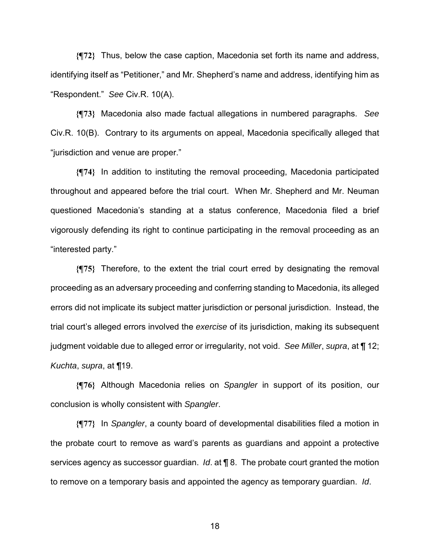**{¶72}** Thus, below the case caption, Macedonia set forth its name and address, identifying itself as "Petitioner," and Mr. Shepherd's name and address, identifying him as "Respondent." *See* Civ.R. 10(A).

**{¶73}** Macedonia also made factual allegations in numbered paragraphs. *See* Civ.R. 10(B). Contrary to its arguments on appeal, Macedonia specifically alleged that "jurisdiction and venue are proper."

**{¶74}** In addition to instituting the removal proceeding, Macedonia participated throughout and appeared before the trial court. When Mr. Shepherd and Mr. Neuman questioned Macedonia's standing at a status conference, Macedonia filed a brief vigorously defending its right to continue participating in the removal proceeding as an "interested party."

**{¶75}** Therefore, to the extent the trial court erred by designating the removal proceeding as an adversary proceeding and conferring standing to Macedonia, its alleged errors did not implicate its subject matter jurisdiction or personal jurisdiction. Instead, the trial court's alleged errors involved the *exercise* of its jurisdiction, making its subsequent judgment voidable due to alleged error or irregularity, not void. *See Miller*, *supra*, at ¶ 12; *Kuchta*, *supra*, at ¶19.

**{¶76}** Although Macedonia relies on *Spangler* in support of its position, our conclusion is wholly consistent with *Spangler*.

**{¶77}** In *Spangler*, a county board of developmental disabilities filed a motion in the probate court to remove as ward's parents as guardians and appoint a protective services agency as successor guardian. *Id*. at ¶ 8. The probate court granted the motion to remove on a temporary basis and appointed the agency as temporary guardian. *Id*.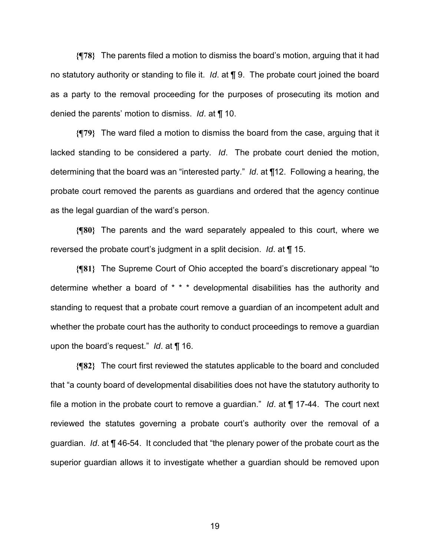**{¶78}** The parents filed a motion to dismiss the board's motion, arguing that it had no statutory authority or standing to file it. *Id*. at ¶ 9. The probate court joined the board as a party to the removal proceeding for the purposes of prosecuting its motion and denied the parents' motion to dismiss. *Id*. at ¶ 10.

**{¶79}** The ward filed a motion to dismiss the board from the case, arguing that it lacked standing to be considered a party. *Id*. The probate court denied the motion, determining that the board was an "interested party." *Id*. at ¶12. Following a hearing, the probate court removed the parents as guardians and ordered that the agency continue as the legal guardian of the ward's person.

**{¶80}** The parents and the ward separately appealed to this court, where we reversed the probate court's judgment in a split decision. *Id*. at ¶ 15.

**{¶81}** The Supreme Court of Ohio accepted the board's discretionary appeal "to determine whether a board of \* \* \* developmental disabilities has the authority and standing to request that a probate court remove a guardian of an incompetent adult and whether the probate court has the authority to conduct proceedings to remove a guardian upon the board's request." *Id*. at ¶ 16.

**{¶82}** The court first reviewed the statutes applicable to the board and concluded that "a county board of developmental disabilities does not have the statutory authority to file a motion in the probate court to remove a guardian." *Id*. at ¶ 17-44. The court next reviewed the statutes governing a probate court's authority over the removal of a guardian. *Id*. at ¶ 46-54. It concluded that "the plenary power of the probate court as the superior guardian allows it to investigate whether a guardian should be removed upon

 $19<sup>19</sup>$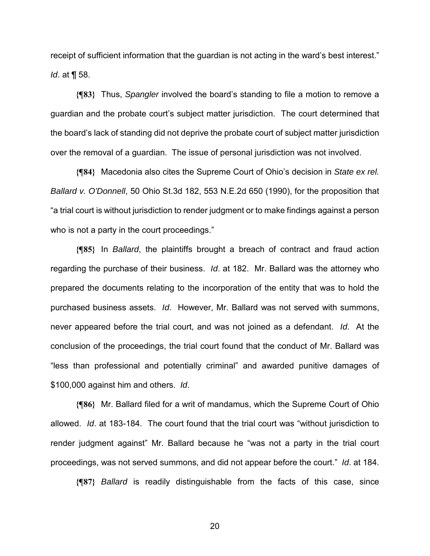receipt of sufficient information that the guardian is not acting in the ward's best interest." *Id*. at ¶ 58.

**{¶83}** Thus, *Spangler* involved the board's standing to file a motion to remove a guardian and the probate court's subject matter jurisdiction. The court determined that the board's lack of standing did not deprive the probate court of subject matter jurisdiction over the removal of a guardian. The issue of personal jurisdiction was not involved.

**{¶84}** Macedonia also cites the Supreme Court of Ohio's decision in *State ex rel. Ballard v. O'Donnell*, 50 Ohio St.3d 182, 553 N.E.2d 650 (1990), for the proposition that "a trial court is without jurisdiction to render judgment or to make findings against a person who is not a party in the court proceedings."

**{¶85}** In *Ballard*, the plaintiffs brought a breach of contract and fraud action regarding the purchase of their business. *Id*. at 182. Mr. Ballard was the attorney who prepared the documents relating to the incorporation of the entity that was to hold the purchased business assets. *Id*. However, Mr. Ballard was not served with summons, never appeared before the trial court, and was not joined as a defendant. *Id*. At the conclusion of the proceedings, the trial court found that the conduct of Mr. Ballard was "less than professional and potentially criminal" and awarded punitive damages of \$100,000 against him and others. *Id*.

**{¶86}** Mr. Ballard filed for a writ of mandamus, which the Supreme Court of Ohio allowed. *Id*. at 183-184. The court found that the trial court was "without jurisdiction to render judgment against" Mr. Ballard because he "was not a party in the trial court proceedings, was not served summons, and did not appear before the court." *Id*. at 184.

**{¶87}** *Ballard* is readily distinguishable from the facts of this case, since

<u>20</u>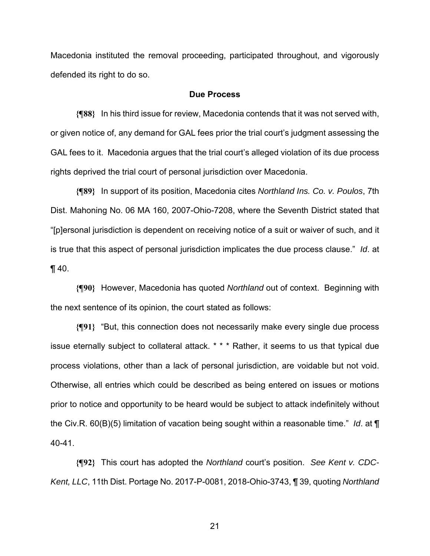Macedonia instituted the removal proceeding, participated throughout, and vigorously defended its right to do so.

## **Due Process**

**{¶88}** In his third issue for review, Macedonia contends that it was not served with, or given notice of, any demand for GAL fees prior the trial court's judgment assessing the GAL fees to it. Macedonia argues that the trial court's alleged violation of its due process rights deprived the trial court of personal jurisdiction over Macedonia.

**{¶89}** In support of its position, Macedonia cites *Northland Ins. Co. v. Poulos*, 7th Dist. Mahoning No. 06 MA 160, 2007-Ohio-7208, where the Seventh District stated that "[p]ersonal jurisdiction is dependent on receiving notice of a suit or waiver of such, and it is true that this aspect of personal jurisdiction implicates the due process clause." *Id*. at  $\P$  40.

**{¶90}** However, Macedonia has quoted *Northland* out of context. Beginning with the next sentence of its opinion, the court stated as follows:

**{¶91}** "But, this connection does not necessarily make every single due process issue eternally subject to collateral attack. \* \* \* Rather, it seems to us that typical due process violations, other than a lack of personal jurisdiction, are voidable but not void. Otherwise, all entries which could be described as being entered on issues or motions prior to notice and opportunity to be heard would be subject to attack indefinitely without the Civ.R. 60(B)(5) limitation of vacation being sought within a reasonable time." *Id*. at ¶ 40-41.

**{¶92}** This court has adopted the *Northland* court's position. *See Kent v. CDC-Kent, LLC*, 11th Dist. Portage No. 2017-P-0081, 2018-Ohio-3743, ¶ 39, quoting *Northland*